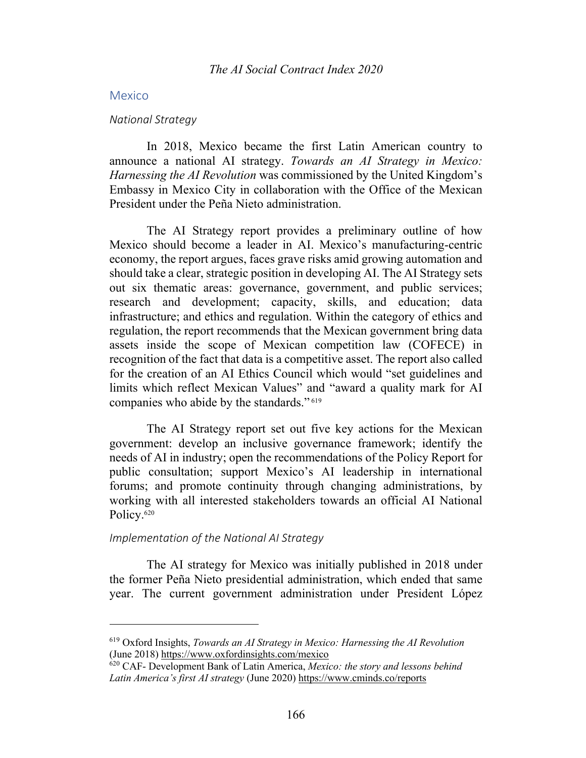#### Mexico

#### *National Strategy*

In 2018, Mexico became the first Latin American country to announce a national AI strategy. *Towards an AI Strategy in Mexico: Harnessing the AI Revolution* was commissioned by the United Kingdom's Embassy in Mexico City in collaboration with the Office of the Mexican President under the Peña Nieto administration.

The AI Strategy report provides a preliminary outline of how Mexico should become a leader in AI. Mexico's manufacturing-centric economy, the report argues, faces grave risks amid growing automation and should take a clear, strategic position in developing AI. The AI Strategy sets out six thematic areas: governance, government, and public services; research and development; capacity, skills, and education; data infrastructure; and ethics and regulation. Within the category of ethics and regulation, the report recommends that the Mexican government bring data assets inside the scope of Mexican competition law (COFECE) in recognition of the fact that data is a competitive asset. The report also called for the creation of an AI Ethics Council which would "set guidelines and limits which reflect Mexican Values" and "award a quality mark for AI companies who abide by the standards." <sup>619</sup>

The AI Strategy report set out five key actions for the Mexican government: develop an inclusive governance framework; identify the needs of AI in industry; open the recommendations of the Policy Report for public consultation; support Mexico's AI leadership in international forums; and promote continuity through changing administrations, by working with all interested stakeholders towards an official AI National Policy.<sup>620</sup>

## *Implementation of the National AI Strategy*

The AI strategy for Mexico was initially published in 2018 under the former Peña Nieto presidential administration, which ended that same year. The current government administration under President López

<sup>619</sup> Oxford Insights, *Towards an AI Strategy in Mexico: Harnessing the AI Revolution* (June 2018) https://www.oxfordinsights.com/mexico

<sup>620</sup> CAF- Development Bank of Latin America, *Mexico: the story and lessons behind*  Latin America's first AI strategy (June 2020) https://www.cminds.co/reports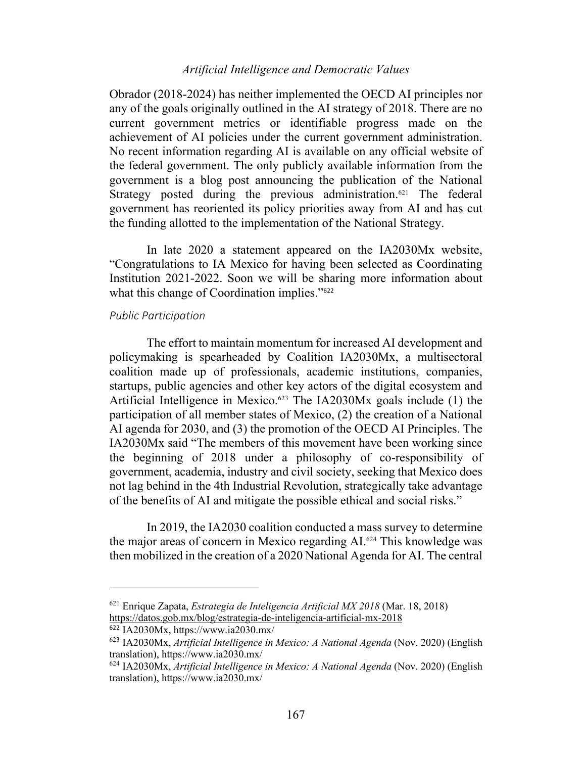# *Artificial Intelligence and Democratic Values*

Obrador (2018-2024) has neither implemented the OECD AI principles nor any of the goals originally outlined in the AI strategy of 2018. There are no current government metrics or identifiable progress made on the achievement of AI policies under the current government administration. No recent information regarding AI is available on any official website of the federal government. The only publicly available information from the government is a blog post announcing the publication of the National Strategy posted during the previous administration.<sup>621</sup> The federal government has reoriented its policy priorities away from AI and has cut the funding allotted to the implementation of the National Strategy.

In late 2020 a statement appeared on the IA2030Mx website, "Congratulations to IA Mexico for having been selected as Coordinating Institution 2021-2022. Soon we will be sharing more information about what this change of Coordination implies."<sup>622</sup>

## *Public Participation*

The effort to maintain momentum for increased AI development and policymaking is spearheaded by Coalition IA2030Mx, a multisectoral coalition made up of professionals, academic institutions, companies, startups, public agencies and other key actors of the digital ecosystem and Artificial Intelligence in Mexico.<sup>623</sup> The IA2030Mx goals include (1) the participation of all member states of Mexico, (2) the creation of a National AI agenda for 2030, and (3) the promotion of the OECD AI Principles. The IA2030Mx said "The members of this movement have been working since the beginning of 2018 under a philosophy of co-responsibility of government, academia, industry and civil society, seeking that Mexico does not lag behind in the 4th Industrial Revolution, strategically take advantage of the benefits of AI and mitigate the possible ethical and social risks."

In 2019, the IA2030 coalition conducted a mass survey to determine the major areas of concern in Mexico regarding AI.624 This knowledge was then mobilized in the creation of a 2020 National Agenda for AI. The central

<sup>621</sup> Enrique Zapata, *Estrategia de Inteligencia Artificial MX 2018* (Mar. 18, 2018) https://datos.gob.mx/blog/estrategia-de-inteligencia-artificial-mx-2018

 $622$  IA2030Mx, https://www.ia2030.mx/

<sup>623</sup> IA2030Mx, *Artificial Intelligence in Mexico: A National Agenda* (Nov. 2020) (English translation), https://www.ia2030.mx/

<sup>624</sup> IA2030Mx, *Artificial Intelligence in Mexico: A National Agenda* (Nov. 2020) (English translation), https://www.ia2030.mx/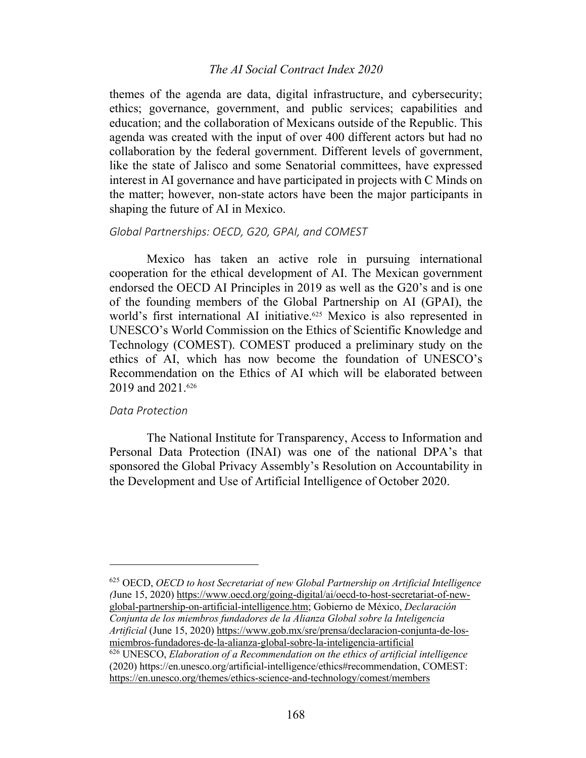# *The AI Social Contract Index 2020*

themes of the agenda are data, digital infrastructure, and cybersecurity; ethics; governance, government, and public services; capabilities and education; and the collaboration of Mexicans outside of the Republic. This agenda was created with the input of over 400 different actors but had no collaboration by the federal government. Different levels of government, like the state of Jalisco and some Senatorial committees, have expressed interest in AI governance and have participated in projects with C Minds on the matter; however, non-state actors have been the major participants in shaping the future of AI in Mexico.

## *Global Partnerships: OECD, G20, GPAI, and COMEST*

Mexico has taken an active role in pursuing international cooperation for the ethical development of AI. The Mexican government endorsed the OECD AI Principles in 2019 as well as the G20's and is one of the founding members of the Global Partnership on AI (GPAI), the world's first international AI initiative. <sup>625</sup> Mexico is also represented in UNESCO's World Commission on the Ethics of Scientific Knowledge and Technology (COMEST). COMEST produced a preliminary study on the ethics of AI, which has now become the foundation of UNESCO's Recommendation on the Ethics of AI which will be elaborated between 2019 and 2021. 626

#### *Data Protection*

The National Institute for Transparency, Access to Information and Personal Data Protection (INAI) was one of the national DPA's that sponsored the Global Privacy Assembly's Resolution on Accountability in the Development and Use of Artificial Intelligence of October 2020.

<sup>625</sup> OECD, *OECD to host Secretariat of new Global Partnership on Artificial Intelligence (*June 15, 2020) https://www.oecd.org/going-digital/ai/oecd-to-host-secretariat-of-newglobal-partnership-on-artificial-intelligence.htm; Gobierno de México, *Declaración Conjunta de los miembros fundadores de la Alianza Global sobre la Inteligencia Artificial* (June 15, 2020) https://www.gob.mx/sre/prensa/declaracion-conjunta-de-losmiembros-fundadores-de-la-alianza-global-sobre-la-inteligencia-artificial <sup>626</sup> UNESCO, *Elaboration of a Recommendation on the ethics of artificial intelligence*

(2020) https://en.unesco.org/artificial-intelligence/ethics#recommendation, COMEST: https://en.unesco.org/themes/ethics-science-and-technology/comest/members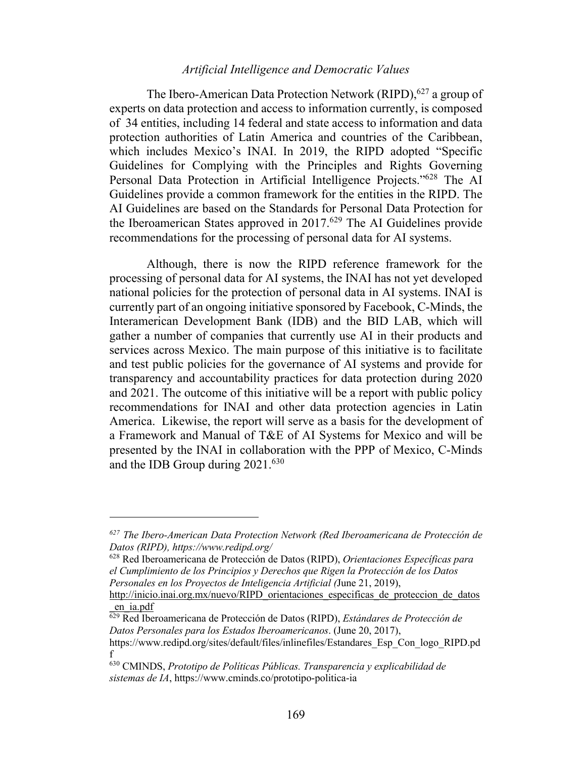# *Artificial Intelligence and Democratic Values*

The Ibero-American Data Protection Network (RIPD),<sup>627</sup> a group of experts on data protection and access to information currently, is composed of 34 entities, including 14 federal and state access to information and data protection authorities of Latin America and countries of the Caribbean, which includes Mexico's INAI. In 2019, the RIPD adopted "Specific Guidelines for Complying with the Principles and Rights Governing Personal Data Protection in Artificial Intelligence Projects."628 The AI Guidelines provide a common framework for the entities in the RIPD. The AI Guidelines are based on the Standards for Personal Data Protection for the Iberoamerican States approved in 2017. <sup>629</sup> The AI Guidelines provide recommendations for the processing of personal data for AI systems.

Although, there is now the RIPD reference framework for the processing of personal data for AI systems, the INAI has not yet developed national policies for the protection of personal data in AI systems. INAI is currently part of an ongoing initiative sponsored by Facebook, C-Minds, the Interamerican Development Bank (IDB) and the BID LAB, which will gather a number of companies that currently use AI in their products and services across Mexico. The main purpose of this initiative is to facilitate and test public policies for the governance of AI systems and provide for transparency and accountability practices for data protection during 2020 and 2021. The outcome of this initiative will be a report with public policy recommendations for INAI and other data protection agencies in Latin America. Likewise, the report will serve as a basis for the development of a Framework and Manual of T&E of AI Systems for Mexico and will be presented by the INAI in collaboration with the PPP of Mexico, C-Minds and the IDB Group during 2021.630

*<sup>627</sup> The Ibero-American Data Protection Network (Red Iberoamericana de Protección de Datos (RIPD), https://www.redipd.org/*

<sup>628</sup> Red Iberoamericana de Protección de Datos (RIPD), *Orientaciones Específicas para el Cumplimiento de los Principios y Derechos que Rigen la Protección de los Datos Personales en los Proyectos de Inteligencia Artificial (*June 21, 2019),

http://inicio.inai.org.mx/nuevo/RIPD orientaciones especificas de proteccion de datos \_en\_ia.pdf

<sup>629</sup> Red Iberoamericana de Protección de Datos (RIPD), *Estándares de Protección de Datos Personales para los Estados Iberoamericanos*. (June 20, 2017),

https://www.redipd.org/sites/default/files/inlinefiles/Estandares\_Esp\_Con\_logo\_RIPD.pd f

<sup>630</sup> CMINDS, *Prototipo de Políticas Públicas. Transparencia y explicabilidad de sistemas de IA*, https://www.cminds.co/prototipo-politica-ia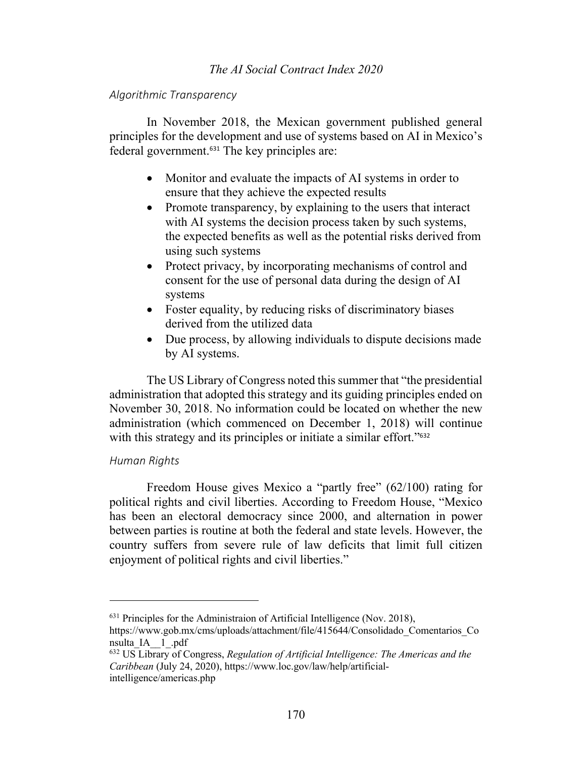# *The AI Social Contract Index 2020*

## *Algorithmic Transparency*

In November 2018, the Mexican government published general principles for the development and use of systems based on AI in Mexico's federal government.<sup>631</sup> The key principles are:

- Monitor and evaluate the impacts of AI systems in order to ensure that they achieve the expected results
- Promote transparency, by explaining to the users that interact with AI systems the decision process taken by such systems, the expected benefits as well as the potential risks derived from using such systems
- Protect privacy, by incorporating mechanisms of control and consent for the use of personal data during the design of AI systems
- Foster equality, by reducing risks of discriminatory biases derived from the utilized data
- Due process, by allowing individuals to dispute decisions made by AI systems.

The US Library of Congress noted this summer that "the presidential administration that adopted this strategy and its guiding principles ended on November 30, 2018. No information could be located on whether the new administration (which commenced on December 1, 2018) will continue with this strategy and its principles or initiate a similar effort."<sup>632</sup>

# *Human Rights*

Freedom House gives Mexico a "partly free" (62/100) rating for political rights and civil liberties. According to Freedom House, "Mexico has been an electoral democracy since 2000, and alternation in power between parties is routine at both the federal and state levels. However, the country suffers from severe rule of law deficits that limit full citizen enjoyment of political rights and civil liberties."

 $631$  Principles for the Administraion of Artificial Intelligence (Nov. 2018),

https://www.gob.mx/cms/uploads/attachment/file/415644/Consolidado\_Comentarios\_Co nsulta\_IA\_\_1\_.pdf

<sup>632</sup> US Library of Congress, *Regulation of Artificial Intelligence: The Americas and the Caribbean* (July 24, 2020), https://www.loc.gov/law/help/artificialintelligence/americas.php